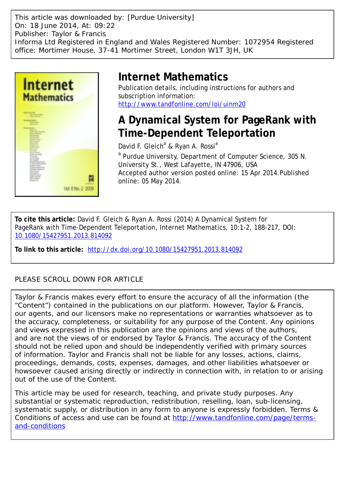This article was downloaded by: [Purdue University] On: 18 June 2014, At: 09:22 Publisher: Taylor & Francis Informa Ltd Registered in England and Wales Registered Number: 1072954 Registered office: Mortimer House, 37-41 Mortimer Street, London W1T 3JH, UK



# **Internet Mathematics**

Publication details, including instructions for authors and subscription information: <http://www.tandfonline.com/loi/uinm20>

# **A Dynamical System for PageRank with Time-Dependent Teleportation**

David F. Gleich<sup>a</sup> & Ryan A. Rossi<sup>a</sup>

<sup>a</sup> Purdue University, Department of Computer Science, 305 N. University St., West Lafayette, IN 47906, USA Accepted author version posted online: 15 Apr 2014.Published online: 05 May 2014.

**To cite this article:** David F. Gleich & Ryan A. Rossi (2014) A Dynamical System for PageRank with Time-Dependent Teleportation, Internet Mathematics, 10:1-2, 188-217, DOI: [10.1080/15427951.2013.814092](http://www.tandfonline.com/action/showCitFormats?doi=10.1080/15427951.2013.814092)

**To link to this article:** <http://dx.doi.org/10.1080/15427951.2013.814092>

# PLEASE SCROLL DOWN FOR ARTICLE

Taylor & Francis makes every effort to ensure the accuracy of all the information (the "Content") contained in the publications on our platform. However, Taylor & Francis, our agents, and our licensors make no representations or warranties whatsoever as to the accuracy, completeness, or suitability for any purpose of the Content. Any opinions and views expressed in this publication are the opinions and views of the authors, and are not the views of or endorsed by Taylor & Francis. The accuracy of the Content should not be relied upon and should be independently verified with primary sources of information. Taylor and Francis shall not be liable for any losses, actions, claims, proceedings, demands, costs, expenses, damages, and other liabilities whatsoever or howsoever caused arising directly or indirectly in connection with, in relation to or arising out of the use of the Content.

This article may be used for research, teaching, and private study purposes. Any substantial or systematic reproduction, redistribution, reselling, loan, sub-licensing, systematic supply, or distribution in any form to anyone is expressly forbidden. Terms & Conditions of access and use can be found at [http://www.tandfonline.com/page/terms](http://www.tandfonline.com/page/terms-and-conditions)[and-conditions](http://www.tandfonline.com/page/terms-and-conditions)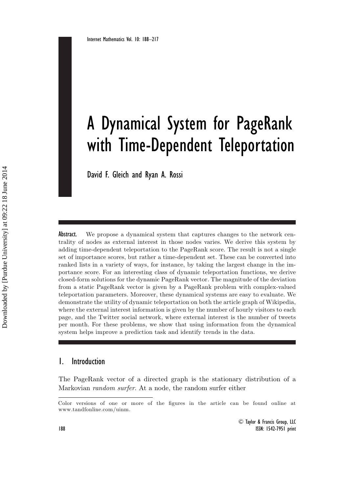# A Dynamical System for PageRank with Time-Dependent Teleportation

David F. Gleich and Ryan A. Rossi

Abstract. We propose a dynamical system that captures changes to the network centrality of nodes as external interest in those nodes varies. We derive this system by adding time-dependent teleportation to the PageRank score. The result is not a single set of importance scores, but rather a time-dependent set. These can be converted into ranked lists in a variety of ways, for instance, by taking the largest change in the importance score. For an interesting class of dynamic teleportation functions, we derive closed-form solutions for the dynamic PageRank vector. The magnitude of the deviation from a static PageRank vector is given by a PageRank problem with complex-valued teleportation parameters. Moreover, these dynamical systems are easy to evaluate. We demonstrate the utility of dynamic teleportation on both the article graph of Wikipedia, where the external interest information is given by the number of hourly visitors to each page, and the Twitter social network, where external interest is the number of tweets per month. For these problems, we show that using information from the dynamical system helps improve a prediction task and identify trends in the data.

# 1. Introduction

The PageRank vector of a directed graph is the stationary distribution of a Markovian *random surfer*. At a node, the random surfer either

Color versions of one or more of the figures in the article can be found online at www.tandfonline.com/uinm.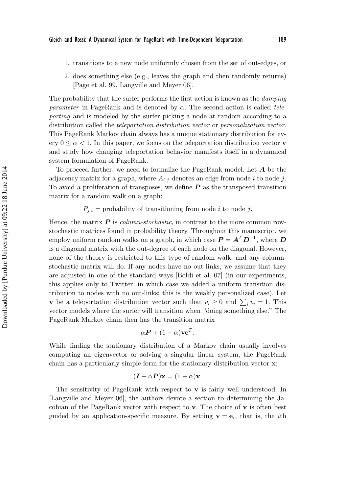- 1. transitions to a new node uniformly chosen from the set of out-edges, or
- 2. does something else (e.g., leaves the graph and then randomly returns) [Page et al. 99, Langville and Meyer 06].

The probability that the surfer performs the first action is known as the *damping parameter* in PageRank and is denoted by  $\alpha$ . The second action is called *teleporting* and is modeled by the surfer picking a node at random according to a distribution called the *teleportation distribution vector* or *personalization vector*. This PageRank Markov chain always has a unique stationary distribution for every  $0 \leq \alpha < 1$ . In this paper, we focus on the teleportation distribution vector **v** and study how changing teleportation behavior manifests itself in a dynamical system formulation of PageRank.

To proceed further, we need to formalize the PageRank model. Let *A* be the adjacency matrix for a graph, where  $A_{i,j}$  denotes an edge from node i to node j. To avoid a proliferation of transposes, we define *P* as the transposed transition matrix for a random walk on a graph:

 $P_{j,i}$  = probability of transitioning from node *i* to node *j*.

Hence, the matrix  $P$  is *column-stochastic*, in contrast to the more common rowstochastic matrices found in probability theory. Throughout this manuscript, we employ uniform random walks on a graph, in which case  $P = A<sup>T</sup> D<sup>-1</sup>$ , where *D* is a diagonal matrix with the out-degree of each node on the diagonal. However, none of the theory is restricted to this type of random walk, and any columnstochastic matrix will do. If any nodes have no out-links, we assume that they are adjusted in one of the standard ways [Boldi et al. 07] (in our experiments, this applies only to Twitter, in which case we added a uniform transition distribution to nodes with no out-links; this is the weakly personalized case). Let **v** be a teleportation distribution vector such that  $v_i \geq 0$  and  $\sum_i v_i = 1$ . This vector models where the surfer will transition when "doing something else." The PageRank Markov chain then has the transition matrix

$$
\alpha \boldsymbol{P} + (1 - \alpha) \mathbf{v} \mathbf{e}^T.
$$

While finding the stationary distribution of a Markov chain usually involves computing an eigenvector or solving a singular linear system, the PageRank chain has a particularly simple form for the stationary distribution vector **x**:

$$
(\mathbf{I} - \alpha \mathbf{P})\mathbf{x} = (1 - \alpha)\mathbf{v}.
$$

The sensitivity of PageRank with respect to **v** is fairly well understood. In [Langville and Meyer 06], the authors devote a section to determining the Jacobian of the PageRank vector with respect to **v**. The choice of **v** is often best guided by an application-specific measure. By setting  $\mathbf{v} = \mathbf{e}_i$ , that is, the *i*th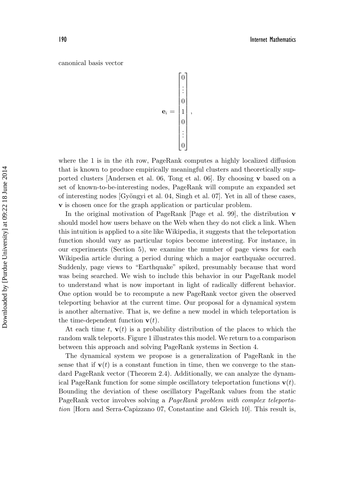#### canonical basis vector

$$
\mathbf{e}_i = \begin{bmatrix} 0 \\ \vdots \\ 0 \\ 1 \\ 0 \\ \vdots \\ 0 \end{bmatrix}
$$

,

where the 1 is in the *i*th row, PageRank computes a highly localized diffusion that is known to produce empirically meaningful clusters and theoretically supported clusters [Andersen et al. 06, Tong et al. 06]. By choosing **v** based on a set of known-to-be-interesting nodes, PageRank will compute an expanded set of interesting nodes  $[Gy\ddot{o}ngyi et al. 04, Singh et al. 07]$ . Yet in all of these cases, **v** is chosen once for the graph application or particular problem.

In the original motivation of PageRank [Page et al. 99], the distribution **v** should model how users behave on the Web when they do not click a link. When this intuition is applied to a site like Wikipedia, it suggests that the teleportation function should vary as particular topics become interesting. For instance, in our experiments (Section 5), we examine the number of page views for each Wikipedia article during a period during which a major earthquake occurred. Suddenly, page views to "Earthquake" spiked, presumably because that word was being searched. We wish to include this behavior in our PageRank model to understand what is now important in light of radically different behavior. One option would be to recompute a new PageRank vector given the observed teleporting behavior at the current time. Our proposal for a dynamical system is another alternative. That is, we define a new model in which teleportation is the time-dependent function  $\mathbf{v}(t)$ .

At each time t,  $\mathbf{v}(t)$  is a probability distribution of the places to which the random walk teleports. Figure 1 illustrates this model. We return to a comparison between this approach and solving PageRank systems in Section 4.

The dynamical system we propose is a generalization of PageRank in the sense that if  $\mathbf{v}(t)$  is a constant function in time, then we converge to the standard PageRank vector (Theorem 2.4). Additionally, we can analyze the dynamical PageRank function for some simple oscillatory teleportation functions  $\mathbf{v}(t)$ . Bounding the deviation of these oscillatory PageRank values from the static PageRank vector involves solving a *PageRank problem with complex teleportation* [Horn and Serra-Capizzano 07, Constantine and Gleich 10]. This result is,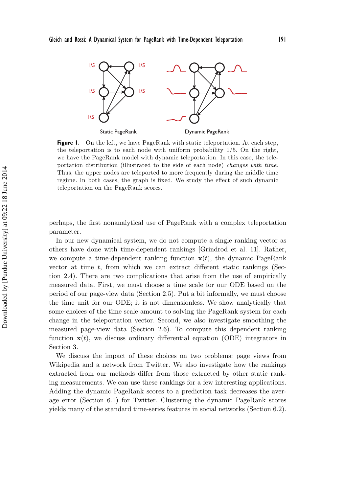

**Figure 1.** On the left, we have PageRank with static teleportation. At each step, the teleportation is to each node with uniform probability 1/5. On the right, we have the PageRank model with dynamic teleportation. In this case, the teleportation distribution (illustrated to the side of each node) changes with time. Thus, the upper nodes are teleported to more frequently during the middle time regime. In both cases, the graph is fixed. We study the effect of such dynamic teleportation on the PageRank scores.

perhaps, the first nonanalytical use of PageRank with a complex teleportation parameter.

In our new dynamical system, we do not compute a single ranking vector as others have done with time-dependent rankings [Grindrod et al. 11]. Rather, we compute a time-dependent ranking function  $\mathbf{x}(t)$ , the dynamic PageRank vector at time  $t$ , from which we can extract different static rankings (Section 2.4). There are two complications that arise from the use of empirically measured data. First, we must choose a time scale for our ODE based on the period of our page-view data (Section 2.5). Put a bit informally, we must choose the time unit for our ODE; it is not dimensionless. We show analytically that some choices of the time scale amount to solving the PageRank system for each change in the teleportation vector. Second, we also investigate smoothing the measured page-view data (Section 2.6). To compute this dependent ranking function  $\mathbf{x}(t)$ , we discuss ordinary differential equation (ODE) integrators in Section 3.

We discuss the impact of these choices on two problems: page views from Wikipedia and a network from Twitter. We also investigate how the rankings extracted from our methods differ from those extracted by other static ranking measurements. We can use these rankings for a few interesting applications. Adding the dynamic PageRank scores to a prediction task decreases the average error (Section 6.1) for Twitter. Clustering the dynamic PageRank scores yields many of the standard time-series features in social networks (Section 6.2).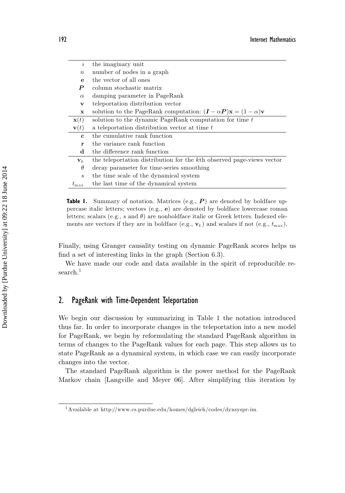| $\mathcal{L}$               | the imaginary unit                                                                |
|-----------------------------|-----------------------------------------------------------------------------------|
| $\boldsymbol{n}$            | number of nodes in a graph                                                        |
| е                           | the vector of all ones                                                            |
| P                           | column stochastic matrix                                                          |
| $\alpha$                    | damping parameter in PageRank                                                     |
| v                           | teleportation distribution vector                                                 |
| $\mathbf x$                 | solution to the PageRank computation: $(I - \alpha P)x = (1 - \alpha)v$           |
| $\mathbf{x}(t)$             | solution to the dynamic PageRank computation for time $t$                         |
| $\mathbf{v}(t)$             | a teleportation distribution vector at time t                                     |
| C.                          | the cumulative rank function                                                      |
| r                           | the variance rank function                                                        |
| d                           | the difference rank function                                                      |
| $\mathbf{v}_k$              | the teleportation distribution for the k <sup>th</sup> observed page-views vector |
| $\theta$                    | decay parameter for time-series smoothing                                         |
| $\mathcal{S}_{\mathcal{S}}$ | the time scale of the dynamical system                                            |
| $t_{\rm max}$               | the last time of the dynamical system                                             |

**Table 1.** Summary of notation. Matrices (e.g., P) are denoted by boldface uppercase italic letters; vectors (e.g., **e**) are denoted by boldface lowercase roman letters; scalars (e.g., s and  $\theta$ ) are nonboldface italic or Greek letters. Indexed elements are vectors if they are in boldface (e.g.,  $\mathbf{v}_k$ ) and scalars if not (e.g.,  $t_{\text{max}}$ ).

Finally, using Granger causality testing on dynamic PageRank scores helps us find a set of interesting links in the graph (Section 6.3).

We have made our code and data available in the spirit of reproducible research.<sup>1</sup>

# 2. PageRank with Time-Dependent Teleportation

We begin our discussion by summarizing in Table 1 the notation introduced thus far. In order to incorporate changes in the teleportation into a new model for PageRank, we begin by reformulating the standard PageRank algorithm in terms of changes to the PageRank values for each page. This step allows us to state PageRank as a dynamical system, in which case we can easily incorporate changes into the vector.

The standard PageRank algorithm is the power method for the PageRank Markov chain [Langville and Meyer 06]. After simplifying this iteration by

<sup>1</sup>Available at http://www.cs.purdue.edu/homes/dgleich/codes/dynsyspr-im.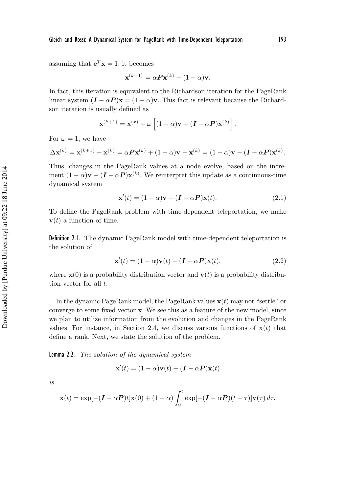$$
\mathbf{x}^{(k+1)} = \alpha \mathbf{P} \mathbf{x}^{(k)} + (1 - \alpha) \mathbf{v}.
$$

In fact, this iteration is equivalent to the Richardson iteration for the PageRank linear system  $(I - \alpha P)x = (1 - \alpha)v$ . This fact is relevant because the Richardson iteration is usually defined as

$$
\mathbf{x}^{(k+1)} = \mathbf{x}^{(x)} + \omega \left[ (1-\alpha)\mathbf{v} - (\boldsymbol{I} - \alpha \boldsymbol{P})\mathbf{x}^{(k)} \right].
$$

For  $\omega = 1$ , we have

$$
\Delta \mathbf{x}^{(k)} = \mathbf{x}^{(k+1)} - \mathbf{x}^{(k)} = \alpha \mathbf{P} \mathbf{x}^{(k)} + (1 - \alpha) \mathbf{v} - \mathbf{x}^{(k)} = (1 - \alpha) \mathbf{v} - (\mathbf{I} - \alpha \mathbf{P}) \mathbf{x}^{(k)}.
$$

Thus, changes in the PageRank values at a node evolve, based on the increment  $(1 - \alpha)\mathbf{v} - (\mathbf{I} - \alpha \mathbf{P})\mathbf{x}^{(k)}$ . We reinterpret this update as a continuous-time dynamical system

$$
\mathbf{x}'(t) = (1 - \alpha)\mathbf{v} - (\mathbf{I} - \alpha \mathbf{P})\mathbf{x}(t).
$$
 (2.1)

To define the PageRank problem with time-dependent teleportation, we make  **a function of time.** 

Definition 2.1. The dynamic PageRank model with time-dependent teleportation is the solution of

$$
\mathbf{x}'(t) = (1 - \alpha)\mathbf{v}(t) - (\mathbf{I} - \alpha \mathbf{P})\mathbf{x}(t),
$$
\n(2.2)

where  $\mathbf{x}(0)$  is a probability distribution vector and  $\mathbf{v}(t)$  is a probability distribution vector for all t.

In the dynamic PageRank model, the PageRank values  $\mathbf{x}(t)$  may not "settle" or converge to some fixed vector **x**. We see this as a feature of the new model, since we plan to utilize information from the evolution and changes in the PageRank values. For instance, in Section 2.4, we discuss various functions of  $\mathbf{x}(t)$  that define a rank. Next, we state the solution of the problem.

Lemma 2.2. *The solution of the dynamical system*

$$
\mathbf{x}'(t) = (1 - \alpha)\mathbf{v}(t) - (\mathbf{I} - \alpha \mathbf{P})\mathbf{x}(t)
$$

*is*

$$
\mathbf{x}(t) = \exp[-(\mathbf{I} - \alpha \mathbf{P})t]\mathbf{x}(0) + (1 - \alpha)\int_0^t \exp[-(\mathbf{I} - \alpha \mathbf{P})(t - \tau)]\mathbf{v}(\tau) d\tau.
$$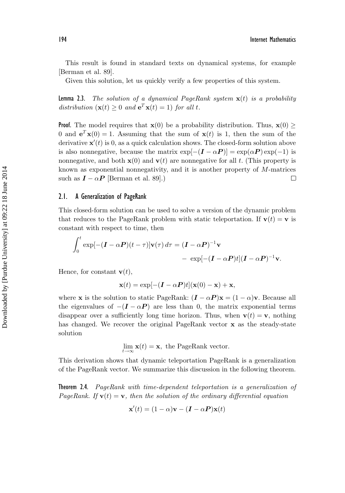This result is found in standard texts on dynamical systems, for example [Berman et al. 89].

Given this solution, let us quickly verify a few properties of this system.

Lemma 2.3. *The solution of a dynamical PageRank system* **x**(t) *is a probability distribution*  $(\mathbf{x}(t) \geq 0 \text{ and } \mathbf{e}^T \mathbf{x}(t) = 1)$  *for all t.* 

**Proof.** The model requires that  $\mathbf{x}(0)$  be a probability distribution. Thus,  $\mathbf{x}(0)$  > 0 and  $e^T \mathbf{x}(0) = 1$ . Assuming that the sum of  $\mathbf{x}(t)$  is 1, then the sum of the derivative  $\mathbf{x}'(t)$  is 0, as a quick calculation shows. The closed-form solution above is also nonnegative, because the matrix  $\exp[-(\mathbf{I} - \alpha \mathbf{P})] = \exp(\alpha \mathbf{P}) \exp(-1)$  is nonnegative, and both  $\mathbf{x}(0)$  and  $\mathbf{v}(t)$  are nonnegative for all t. (This property is known as exponential nonnegativity, and it is another property of M-matrices such as  $I - \alpha P$  [Berman et al. 89].)  $\Box$ 

#### 2.1. A Generalization of PageRank

This closed-form solution can be used to solve a version of the dynamic problem that reduces to the PageRank problem with static teleportation. If  $\mathbf{v}(t) = \mathbf{v}$  is constant with respect to time, then

$$
\int_0^{\infty} \exp[-(\mathbf{I} - \alpha \mathbf{P})(t - \tau)] \mathbf{v}(\tau) d\tau = (\mathbf{I} - \alpha \mathbf{P})^{-1} \mathbf{v}
$$
  
- 
$$
\exp[-(\mathbf{I} - \alpha \mathbf{P})t](\mathbf{I} - \alpha \mathbf{P})^{-1} \mathbf{v}.
$$

Hence, for constant  $\mathbf{v}(t)$ ,

 $\alpha$ 

$$
\mathbf{x}(t) = \exp[-(\mathbf{I} - \alpha \mathbf{P})t](\mathbf{x}(0) - \mathbf{x}) + \mathbf{x},
$$

where **x** is the solution to static PageRank:  $(I - \alpha P)\mathbf{x} = (1 - \alpha)\mathbf{v}$ . Because all the eigenvalues of  $-(I - \alpha P)$  are less than 0, the matrix exponential terms disappear over a sufficiently long time horizon. Thus, when  $\mathbf{v}(t) = \mathbf{v}$ , nothing has changed. We recover the original PageRank vector **x** as the steady-state solution

lim  $\mathbf{x}(t) = \mathbf{x}$ , the PageRank vector.

This derivation shows that dynamic teleportation PageRank is a generalization of the PageRank vector. We summarize this discussion in the following theorem.

Theorem 2.4. *PageRank with time-dependent teleportation is a generalization of PageRank.* If  $\mathbf{v}(t) = \mathbf{v}$ *, then the solution of the ordinary differential equation* 

$$
\mathbf{x}'(t) = (1 - \alpha)\mathbf{v} - (\mathbf{I} - \alpha \mathbf{P})\mathbf{x}(t)
$$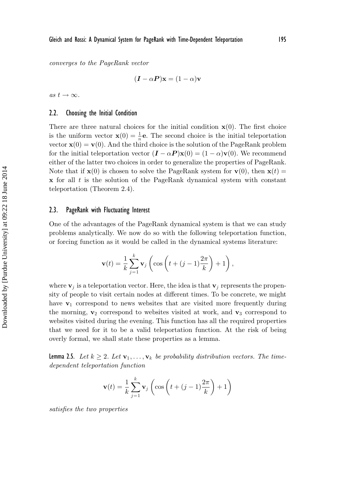*converges to the PageRank vector*

$$
(\boldsymbol{I} - \alpha \boldsymbol{P})\mathbf{x} = (1 - \alpha)\mathbf{v}
$$

 $as t \rightarrow \infty$ .

#### 2.2. Choosing the Initial Condition

There are three natural choices for the initial condition  $\mathbf{x}(0)$ . The first choice is the uniform vector  $\mathbf{x}(0) = \frac{1}{n}\mathbf{e}$ . The second choice is the initial teleportation vector  $\mathbf{x}(0) = \mathbf{v}(0)$ . And the third choice is the solution of the PageRank problem for the initial teleportation vector  $(I - \alpha P)\mathbf{x}(0) = (1 - \alpha)\mathbf{v}(0)$ . We recommend either of the latter two choices in order to generalize the properties of PageRank. Note that if  $\mathbf{x}(0)$  is chosen to solve the PageRank system for  $\mathbf{v}(0)$ , then  $\mathbf{x}(t)$  =  $x$  for all t is the solution of the PageRank dynamical system with constant teleportation (Theorem 2.4).

#### 2.3. PageRank with Fluctuating Interest

One of the advantages of the PageRank dynamical system is that we can study problems analytically. We now do so with the following teleportation function, or forcing function as it would be called in the dynamical systems literature:

$$
\mathbf{v}(t) = \frac{1}{k} \sum_{j=1}^{k} \mathbf{v}_j \left( \cos \left( t + (j-1)\frac{2\pi}{k} \right) + 1 \right),\,
$$

where  $\mathbf{v}_j$  is a teleportation vector. Here, the idea is that  $\mathbf{v}_j$  represents the propensity of people to visit certain nodes at different times. To be concrete, we might have  $v_1$  correspond to news websites that are visited more frequently during the morning,  $\mathbf{v}_2$  correspond to websites visited at work, and  $\mathbf{v}_3$  correspond to websites visited during the evening. This function has all the required properties that we need for it to be a valid teleportation function. At the risk of being overly formal, we shall state these properties as a lemma.

**Lemma 2.5.** Let  $k \geq 2$ . Let  $\mathbf{v}_1, \ldots, \mathbf{v}_k$  be probability distribution vectors. The time*dependent teleportation function*

$$
\mathbf{v}(t) = \frac{1}{k} \sum_{j=1}^{k} \mathbf{v}_j \left( \cos \left( t + (j-1)\frac{2\pi}{k} \right) + 1 \right)
$$

*satisfies the two properties*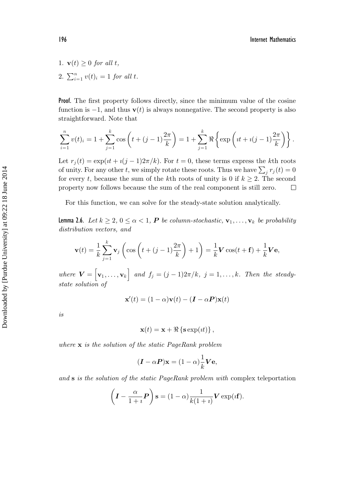- 1.  $\mathbf{v}(t) \geq 0$  *for all t*,
- 2.  $\sum_{i=1}^{n} v(t)_{i} = 1$  *for all t.*

Proof. The first property follows directly, since the minimum value of the cosine function is  $-1$ , and thus **v**(t) is always nonnegative. The second property is also straightforward. Note that

$$
\sum_{i=1}^{n} v(t)_i = 1 + \sum_{j=1}^{k} \cos\left(t + (j-1)\frac{2\pi}{k}\right) = 1 + \sum_{j=1}^{k} \Re\left\{\exp\left(it + i(j-1)\frac{2\pi}{k}\right)\right\}.
$$

Let  $r_j(t) = \exp(it + i(j-1)2\pi/k)$ . For  $t = 0$ , these terms express the kth roots of unity. For any other t, we simply rotate these roots. Thus we have  $\sum_i r_j(t) = 0$ for every t, because the sum of the kth roots of unity is 0 if  $k \geq 2$ . The second property now follows because the sum of the real component is still zero.  $\Box$ 

For this function, we can solve for the steady-state solution analytically.

**Lemma 2.6.** *Let*  $k \geq 2$ ,  $0 \leq \alpha < 1$ , **P** *be column-stochastic*,  $\mathbf{v}_1, \ldots, \mathbf{v}_k$  *be probability distribution vectors, and*

$$
\mathbf{v}(t) = \frac{1}{k} \sum_{j=1}^{k} \mathbf{v}_j \left( \cos\left(t + (j-1)\frac{2\pi}{k}\right) + 1 \right) = \frac{1}{k} \mathbf{V} \cos(t + \mathbf{f}) + \frac{1}{k} \mathbf{V} \mathbf{e},
$$

*where*  $\mathbf{V} = [\mathbf{v}_1, \dots, \mathbf{v}_k]$  and  $f_j = (j-1)2\pi/k$ ,  $j = 1, \dots, k$ *. Then the steadystate solution of*

$$
\mathbf{x}'(t) = (1 - \alpha)\mathbf{v}(t) - (\mathbf{I} - \alpha \mathbf{P})\mathbf{x}(t)
$$

*is*

$$
\mathbf{x}(t) = \mathbf{x} + \Re\left\{\mathbf{s}\exp(it)\right\},\,
$$

*where* **x** *is the solution of the static PageRank problem*

$$
(\mathbf{I} - \alpha \mathbf{P})\mathbf{x} = (1 - \alpha)\frac{1}{k}\mathbf{V}\mathbf{e},
$$

*and* **s** *is the solution of the static PageRank problem with* complex teleportation

$$
\left(\mathbf{I} - \frac{\alpha}{1+i}\mathbf{P}\right)\mathbf{s} = (1-\alpha)\frac{1}{k(1+i)}\mathbf{V}\exp(i\mathbf{f}).
$$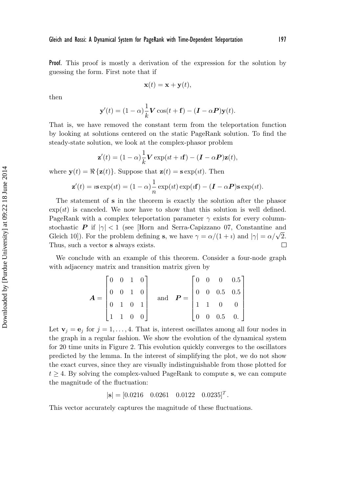Proof. This proof is mostly a derivation of the expression for the solution by guessing the form. First note that if

$$
\mathbf{x}(t) = \mathbf{x} + \mathbf{y}(t),
$$

then

$$
\mathbf{y}'(t) = (1 - \alpha) \frac{1}{k} \mathbf{V} \cos(t + \mathbf{f}) - (\mathbf{I} - \alpha \mathbf{P}) \mathbf{y}(t).
$$

That is, we have removed the constant term from the teleportation function by looking at solutions centered on the static PageRank solution. To find the steady-state solution, we look at the complex-phasor problem

$$
\mathbf{z}'(t) = (1 - \alpha) \frac{1}{k} \mathbf{V} \exp(it + i\mathbf{f}) - (\mathbf{I} - \alpha \mathbf{P})\mathbf{z}(t),
$$

where  $\mathbf{y}(t) = \Re\{\mathbf{z}(t)\}\$ . Suppose that  $\mathbf{z}(t) = \mathbf{s}\exp(\imath t)$ . Then

$$
\mathbf{z}'(t) = i \mathbf{s} \exp(it) = (1 - \alpha) \frac{1}{n} \exp(it) \exp(it) - (\mathbf{I} - \alpha \mathbf{P}) \mathbf{s} \exp(it).
$$

The statement of **s** in the theorem is exactly the solution after the phasor  $\exp(it)$  is canceled. We now have to show that this solution is well defined. PageRank with a complex teleportation parameter  $\gamma$  exists for every columnstochastic *P* if  $|\gamma| < 1$  (see [Horn and Serra-Capizzano 07, Constantine and Gleich 10]). For the problem defining **s**, we have  $\gamma = \alpha/(1 + i)$  and  $|\gamma| = \alpha/\sqrt{2}$ . Thus, such a vector **s** always exists. П

We conclude with an example of this theorem. Consider a four-node graph with adjacency matrix and transition matrix given by

$$
\boldsymbol{A} = \begin{bmatrix} 0 & 0 & 1 & 0 \\ 0 & 0 & 1 & 0 \\ 0 & 1 & 0 & 1 \\ 1 & 1 & 0 & 0 \end{bmatrix} \quad \text{and} \quad \boldsymbol{P} = \begin{bmatrix} 0 & 0 & 0 & 0.5 \\ 0 & 0 & 0.5 & 0.5 \\ 1 & 1 & 0 & 0 \\ 0 & 0 & 0.5 & 0. \end{bmatrix}
$$

Let  $\mathbf{v}_i = \mathbf{e}_i$  for  $j = 1, \ldots, 4$ . That is, interest oscillates among all four nodes in the graph in a regular fashion. We show the evolution of the dynamical system for 20 time units in Figure 2. This evolution quickly converges to the oscillators predicted by the lemma. In the interest of simplifying the plot, we do not show the exact curves, since they are visually indistinguishable from those plotted for  $t \geq 4$ . By solving the complex-valued PageRank to compute **s**, we can compute the magnitude of the fluctuation:

$$
|\mathbf{s}| = [0.0216 \quad 0.0261 \quad 0.0122 \quad 0.0235]^T.
$$

This vector accurately captures the magnitude of these fluctuations.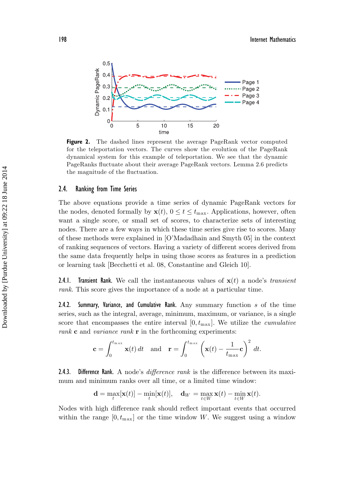

Figure 2. The dashed lines represent the average PageRank vector computed for the teleportation vectors. The curves show the evolution of the PageRank dynamical system for this example of teleportation. We see that the dynamic PageRanks fluctuate about their average PageRank vectors. Lemma 2.6 predicts the magnitude of the fluctuation.

#### 2.4. Ranking from Time Series

The above equations provide a time series of dynamic PageRank vectors for the nodes, denoted formally by  $\mathbf{x}(t)$ ,  $0 \le t \le t_{\text{max}}$ . Applications, however, often want a single score, or small set of scores, to characterize sets of interesting nodes. There are a few ways in which these time series give rise to scores. Many of these methods were explained in [O'Madadhain and Smyth 05] in the context of ranking sequences of vectors. Having a variety of different scores derived from the same data frequently helps in using those scores as features in a prediction or learning task [Becchetti et al. 08, Constantine and Gleich 10].

2.4.1. Transient Rank. We call the instantaneous values of **x**(t) a node's *transient rank*. This score gives the importance of a node at a particular time.

2.4.2. Summary, Variance, and Cumulative Rank. Any summary function  $s$  of the time series, such as the integral, average, minimum, maximum, or variance, is a single score that encompasses the entire interval  $[0, t_{\text{max}}]$ . We utilize the *cumulative rank* **c** and *variance rank* **r** in the forthcoming experiments:

$$
\mathbf{c} = \int_0^{t_{\max}} \mathbf{x}(t) dt \quad \text{and} \quad \mathbf{r} = \int_0^{t_{\max}} \left( \mathbf{x}(t) - \frac{1}{t_{\max}} \mathbf{c} \right)^2 dt.
$$

2.4.3. Difference Rank. A node's *difference rank* is the difference between its maximum and minimum ranks over all time, or a limited time window:

$$
\mathbf{d} = \max_t [\mathbf{x}(t)] - \min_t [\mathbf{x}(t)], \quad \mathbf{d}_W = \max_{t \in W} \mathbf{x}(t) - \min_{t \in W} \mathbf{x}(t).
$$

Nodes with high difference rank should reflect important events that occurred within the range  $[0, t_{\text{max}}]$  or the time window W. We suggest using a window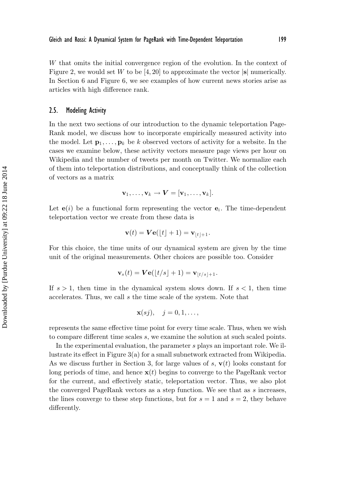W that omits the initial convergence region of the evolution. In the context of Figure 2, we would set W to be  $[4, 20]$  to approximate the vector  $|\mathbf{s}|$  numerically. In Section 6 and Figure 6, we see examples of how current news stories arise as articles with high difference rank.

#### 2.5. Modeling Activity

In the next two sections of our introduction to the dynamic teleportation Page-Rank model, we discuss how to incorporate empirically measured activity into the model. Let  $\mathbf{p}_1, \ldots, \mathbf{p}_k$  be k observed vectors of activity for a website. In the cases we examine below, these activity vectors measure page views per hour on Wikipedia and the number of tweets per month on Twitter. We normalize each of them into teleportation distributions, and conceptually think of the collection of vectors as a matrix

$$
\mathbf{v}_1,\ldots,\mathbf{v}_k\to\mathbf{V}=[\mathbf{v}_1,\ldots,\mathbf{v}_k].
$$

Let  $e(i)$  be a functional form representing the vector  $e_i$ . The time-dependent teleportation vector we create from these data is

$$
\mathbf{v}(t) = \mathbf{V}\mathbf{e}(\lfloor t \rfloor + 1) = \mathbf{v}_{\lfloor t \rfloor + 1}.
$$

For this choice, the time units of our dynamical system are given by the time unit of the original measurements. Other choices are possible too. Consider

$$
\mathbf{v}_s(t) = \mathbf{V} \mathbf{e}(\lfloor t/s \rfloor + 1) = \mathbf{v}_{\lfloor t/s \rfloor + 1}.
$$

If  $s > 1$ , then time in the dynamical system slows down. If  $s < 1$ , then time accelerates. Thus, we call s the time scale of the system. Note that

$$
\mathbf{x}(sj), \quad j=0,1,\ldots,
$$

represents the same effective time point for every time scale. Thus, when we wish to compare different time scales s, we examine the solution at such scaled points.

In the experimental evaluation, the parameter s plays an important role. We illustrate its effect in Figure 3(a) for a small subnetwork extracted from Wikipedia. As we discuss further in Section 3, for large values of  $s$ ,  $\mathbf{v}(t)$  looks constant for long periods of time, and hence  $\mathbf{x}(t)$  begins to converge to the PageRank vector for the current, and effectively static, teleportation vector. Thus, we also plot the converged PageRank vectors as a step function. We see that as s increases, the lines converge to these step functions, but for  $s = 1$  and  $s = 2$ , they behave differently.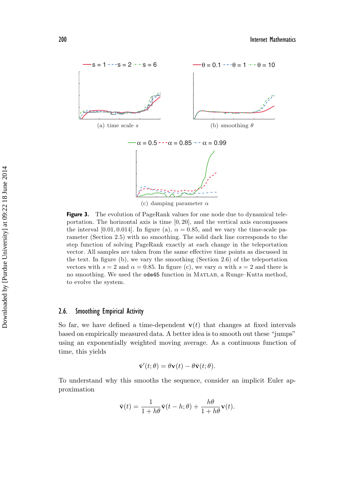

**Figure 3.** The evolution of PageRank values for one node due to dynamical teleportation. The horizontal axis is time [0, 20], and the vertical axis encompasses the interval [0.01, 0.014]. In figure (a),  $\alpha = 0.85$ , and we vary the time-scale parameter (Section 2.5) with no smoothing. The solid dark line corresponds to the step function of solving PageRank exactly at each change in the teleportation vector. All samples are taken from the same effective time points as discussed in the text. In figure (b), we vary the smoothing (Section 2.6) of the teleportation vectors with  $s = 2$  and  $\alpha = 0.85$ . In figure (c), we vary  $\alpha$  with  $s = 2$  and there is no smoothing. We used the ode45 function in Matlab, a Runge–Kutta method, to evolve the system.

#### 2.6. Smoothing Empirical Activity

So far, we have defined a time-dependent  $\mathbf{v}(t)$  that changes at fixed intervals based on empirically measured data. A better idea is to smooth out these "jumps" using an exponentially weighted moving average. As a continuous function of time, this yields

$$
\bar{\mathbf{v}}'(t; \theta) = \theta \mathbf{v}(t) - \theta \bar{\mathbf{v}}(t; \theta).
$$

To understand why this smooths the sequence, consider an implicit Euler approximation

$$
\bar{\mathbf{v}}(t) = \frac{1}{1+h\theta}\bar{\mathbf{v}}(t-h;\theta) + \frac{h\theta}{1+h\theta}\mathbf{v}(t).
$$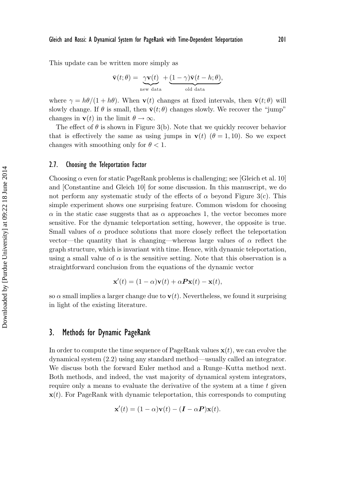This update can be written more simply as

$$
\bar{\mathbf{v}}(t; \theta) = \underbrace{\gamma \mathbf{v}(t)}_{\text{new data}} + \underbrace{(1 - \gamma)\bar{\mathbf{v}}(t - h; \theta)}_{\text{old data}},
$$

where  $\gamma = h\theta/(1 + h\theta)$ . When **v**(t) changes at fixed intervals, then **v**(t;  $\theta$ ) will slowly change. If  $\theta$  is small, then  $\bar{\mathbf{v}}(t;\theta)$  changes slowly. We recover the "jump" changes in **v**(*t*) in the limit  $\theta \to \infty$ .

The effect of  $\theta$  is shown in Figure 3(b). Note that we quickly recover behavior that is effectively the same as using jumps in **v**(t)  $(\theta = 1, 10)$ . So we expect changes with smoothing only for  $\theta < 1$ .

#### 2.7. Choosing the Teleportation Factor

Choosing  $\alpha$  even for static PageRank problems is challenging; see [Gleich et al. 10] and [Constantine and Gleich 10] for some discussion. In this manuscript, we do not perform any systematic study of the effects of  $\alpha$  beyond Figure 3(c). This simple experiment shows one surprising feature. Common wisdom for choosing  $\alpha$  in the static case suggests that as  $\alpha$  approaches 1, the vector becomes more sensitive. For the dynamic teleportation setting, however, the opposite is true. Small values of  $\alpha$  produce solutions that more closely reflect the teleportation vector—the quantity that is changing—whereas large values of  $\alpha$  reflect the graph structure, which is invariant with time. Hence, with dynamic teleportation, using a small value of  $\alpha$  is the sensitive setting. Note that this observation is a straightforward conclusion from the equations of the dynamic vector

$$
\mathbf{x}'(t) = (1 - \alpha)\mathbf{v}(t) + \alpha \mathbf{P}\mathbf{x}(t) - \mathbf{x}(t),
$$

so  $\alpha$  small implies a larger change due to  $\mathbf{v}(t)$ . Nevertheless, we found it surprising in light of the existing literature.

# 3. Methods for Dynamic PageRank

In order to compute the time sequence of PageRank values  $\mathbf{x}(t)$ , we can evolve the dynamical system (2.2) using any standard method—usually called an integrator. We discuss both the forward Euler method and a Runge–Kutta method next. Both methods, and indeed, the vast majority of dynamical system integrators, require only a means to evaluate the derivative of the system at a time t given **x**(*t*). For PageRank with dynamic teleportation, this corresponds to computing

$$
\mathbf{x}'(t) = (1 - \alpha)\mathbf{v}(t) - (\mathbf{I} - \alpha \mathbf{P})\mathbf{x}(t).
$$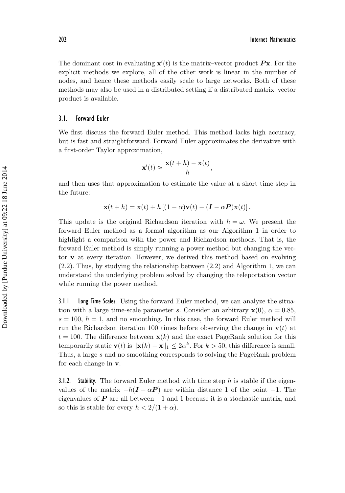The dominant cost in evaluating  $\mathbf{x}'(t)$  is the matrix-vector product  $\mathbf{P}\mathbf{x}$ . For the explicit methods we explore, all of the other work is linear in the number of nodes, and hence these methods easily scale to large networks. Both of these methods may also be used in a distributed setting if a distributed matrix–vector product is available.

#### 3.1. Forward Euler

We first discuss the forward Euler method. This method lacks high accuracy, but is fast and straightforward. Forward Euler approximates the derivative with a first-order Taylor approximation,

$$
\mathbf{x}'(t) \approx \frac{\mathbf{x}(t+h) - \mathbf{x}(t)}{h},
$$

and then uses that approximation to estimate the value at a short time step in the future:

$$
\mathbf{x}(t+h) = \mathbf{x}(t) + h [(1-\alpha)\mathbf{v}(t) - (\mathbf{I} - \alpha \mathbf{P})\mathbf{x}(t)].
$$

This update is the original Richardson iteration with  $h = \omega$ . We present the forward Euler method as a formal algorithm as our Algorithm 1 in order to highlight a comparison with the power and Richardson methods. That is, the forward Euler method is simply running a power method but changing the vector **v** at every iteration. However, we derived this method based on evolving (2.2). Thus, by studying the relationship between (2.2) and Algorithm 1, we can understand the underlying problem solved by changing the teleportation vector while running the power method.

3.1.1. Long Time Scales. Using the forward Euler method, we can analyze the situation with a large time-scale parameter s. Consider an arbitrary  $\mathbf{x}(0)$ ,  $\alpha = 0.85$ ,  $s = 100$ ,  $h = 1$ , and no smoothing. In this case, the forward Euler method will run the Richardson iteration 100 times before observing the change in  $\mathbf{v}(t)$  at  $t = 100$ . The difference between  $\mathbf{x}(k)$  and the exact PageRank solution for this temporarily static  $\mathbf{v}(t)$  is  $\|\mathbf{x}(k) - \mathbf{x}\|_1 \leq 2\alpha^k$ . For  $k > 50$ , this difference is small. Thus, a large s and no smoothing corresponds to solving the PageRank problem for each change in **v**.

3.1.2. Stability. The forward Euler method with time step  $h$  is stable if the eigenvalues of the matrix  $-h(I - \alpha P)$  are within distance 1 of the point −1. The eigenvalues of  $P$  are all between  $-1$  and 1 because it is a stochastic matrix, and so this is stable for every  $h < 2/(1 + \alpha)$ .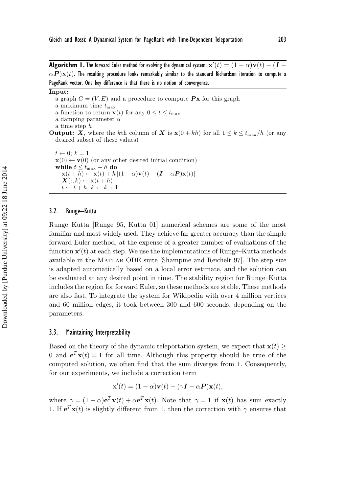$\bf{Algorithm~ I.}$  The forward Euler method for evolving the dynamical system:  ${\bf x}'(t) = (1-\alpha){\bf v}(t) - ({\bm I}-t)$  $\alpha$ *P* ) $\mathbf{x}(t)$ . The resulting procedure looks remarkably similar to the standard Richardson iteration to compute a PageRank vector. One key difference is that there is no notion of convergence.

**Input:**

- a graph  $G = (V, E)$  and a procedure to compute **Px** for this graph
- a maximum time  $t_{\text{max}}$
- a function to return **v**(*t*) for any  $0 \le t \le t_{\text{max}}$
- a damping parameter  $\alpha$
- a time step h
- **Output:** *X*, where the kth column of *X* is  $\mathbf{x}(0 + kh)$  for all  $1 \leq k \leq t_{\text{max}}/h$  (or any desired subset of these values)

 $t \leftarrow 0$ ;  $k = 1$  $\mathbf{x}(0) \leftarrow \mathbf{v}(0)$  (or any other desired initial condition) **while**  $t \leq t_{\max} - h$  **do**  $\mathbf{x}(t+h) \leftarrow \mathbf{x}(t) + h [(1-\alpha)\mathbf{v}(t) - (\mathbf{I} - \alpha \mathbf{P})\mathbf{x}(t)]$  $\mathbf{X}(:,k) \leftarrow \mathbf{x}(t+h)$  $t \leftarrow t + h; k \leftarrow k + 1$ 

#### 3.2. Runge–Kutta

Runge–Kutta [Runge 95, Kutta 01] numerical schemes are some of the most familiar and most widely used. They achieve far greater accuracy than the simple forward Euler method, at the expense of a greater number of evaluations of the function  $\mathbf{x}'(t)$  at each step. We use the implementations of Runge–Kutta methods available in the Matlab ODE suite [Shampine and Reichelt 97]. The step size is adapted automatically based on a local error estimate, and the solution can be evaluated at any desired point in time. The stability region for Runge–Kutta includes the region for forward Euler, so these methods are stable. These methods are also fast. To integrate the system for Wikipedia with over 4 million vertices and 60 million edges, it took between 300 and 600 seconds, depending on the parameters.

#### 3.3. Maintaining Interpretability

Based on the theory of the dynamic teleportation system, we expect that  $\mathbf{x}(t) \geq$ 0 and  $e^T$ **x**(t) = 1 for all time. Although this property should be true of the computed solution, we often find that the sum diverges from 1. Consequently, for our experiments, we include a correction term

$$
\mathbf{x}'(t) = (1 - \alpha)\mathbf{v}(t) - (\gamma \mathbf{I} - \alpha \mathbf{P})\mathbf{x}(t),
$$

where  $\gamma = (1 - \alpha)\mathbf{e}^T \mathbf{v}(t) + \alpha \mathbf{e}^T \mathbf{x}(t)$ . Note that  $\gamma = 1$  if  $\mathbf{x}(t)$  has sum exactly 1. If  $e^T$ **x**(t) is slightly different from 1, then the correction with  $\gamma$  ensures that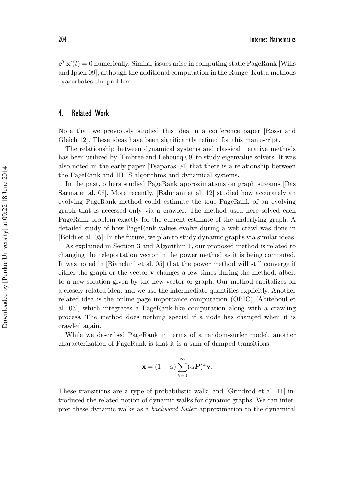$e^T \mathbf{x}'(t) = 0$  numerically. Similar issues arise in computing static PageRank [Wills and Ipsen 09], although the additional computation in the Runge–Kutta methods exacerbates the problem.

# 4. Related Work

Note that we previously studied this idea in a conference paper [Rossi and Gleich 12]. These ideas have been significantly refined for this manuscript.

The relationship between dynamical systems and classical iterative methods has been utilized by [Embree and Lehoucq 09] to study eigenvalue solvers. It was also noted in the early paper [Tsaparas 04] that there is a relationship between the PageRank and HITS algorithms and dynamical systems.

In the past, others studied PageRank approximations on graph streams [Das Sarma et al. 08]. More recently, [Bahmani et al. 12] studied how accurately an evolving PageRank method could estimate the true PageRank of an evolving graph that is accessed only via a crawler. The method used here solved each PageRank problem exactly for the current estimate of the underlying graph. A detailed study of how PageRank values evolve during a web crawl was done in [Boldi et al. 05]. In the future, we plan to study dynamic graphs via similar ideas.

As explained in Section 3 and Algorithm 1, our proposed method is related to changing the teleportation vector in the power method as it is being computed. It was noted in [Bianchini et al. 05] that the power method will still converge if either the graph or the vector **v** changes a few times during the method, albeit to a new solution given by the new vector or graph. Our method capitalizes on a closely related idea, and we use the intermediate quantities explicitly. Another related idea is the online page importance computation (OPIC) [Abiteboul et al. 03], which integrates a PageRank-like computation along with a crawling process. The method does nothing special if a node has changed when it is crawled again.

While we described PageRank in terms of a random-surfer model, another characterization of PageRank is that it is a sum of damped transitions:

$$
\mathbf{x} = (1 - \alpha) \sum_{k=0}^{\infty} (\alpha \mathbf{P})^k \mathbf{v}.
$$

These transitions are a type of probabilistic walk, and [Grindrod et al. 11] introduced the related notion of dynamic walks for dynamic graphs. We can interpret these dynamic walks as a *backward Euler* approximation to the dynamical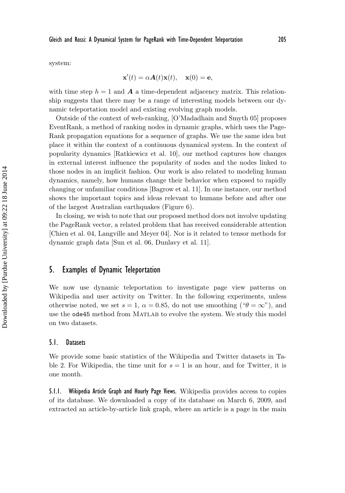system:

$$
\mathbf{x}'(t) = \alpha \mathbf{A}(t)\mathbf{x}(t), \quad \mathbf{x}(0) = \mathbf{e},
$$

with time step  $h = 1$  and **A** a time-dependent adjacency matrix. This relationship suggests that there may be a range of interesting models between our dynamic teleportation model and existing evolving graph models.

Outside of the context of web-ranking, [O'Madadhain and Smyth 05] proposes EventRank, a method of ranking nodes in dynamic graphs, which uses the Page-Rank propagation equations for a sequence of graphs. We use the same idea but place it within the context of a continuous dynamical system. In the context of popularity dynamics [Ratkiewicz et al. 10], our method captures how changes in external interest influence the popularity of nodes and the nodes linked to those nodes in an implicit fashion. Our work is also related to modeling human dynamics, namely, how humans change their behavior when exposed to rapidly changing or unfamiliar conditions [Bagrow et al. 11]. In one instance, our method shows the important topics and ideas relevant to humans before and after one of the largest Australian earthquakes (Figure 6).

In closing, we wish to note that our proposed method does not involve updating the PageRank vector, a related problem that has received considerable attention [Chien et al. 04, Langville and Meyer 04]. Nor is it related to tensor methods for dynamic graph data [Sun et al. 06, Dunlavy et al. 11].

#### 5. Examples of Dynamic Teleportation

We now use dynamic teleportation to investigate page view patterns on Wikipedia and user activity on Twitter. In the following experiments, unless otherwise noted, we set  $s = 1$ ,  $\alpha = 0.85$ , do not use smoothing (" $\theta = \infty$ "), and use the ode45 method from MATLAB to evolve the system. We study this model on two datasets.

#### 5.1. Datasets

We provide some basic statistics of the Wikipedia and Twitter datasets in Table 2. For Wikipedia, the time unit for  $s = 1$  is an hour, and for Twitter, it is one month.

5.1.1. Wikipedia Article Graph and Hourly Page Views. Wikipedia provides access to copies of its database. We downloaded a copy of its database on March 6, 2009, and extracted an article-by-article link graph, where an article is a page in the main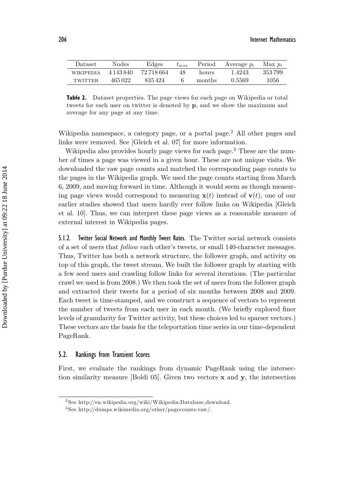| Dataset          | Nodes     | Edges      | $t_{\rm max}$ | Period | Average $p_i$ | Max $p_i$ |
|------------------|-----------|------------|---------------|--------|---------------|-----------|
| <b>WIKIPEDIA</b> | 4 143 840 | 72 718 664 | 48            | hours  | 1.4243        | 353799    |
| TWITTER.         | 465022    | 835424     |               | months | 0.5569        | 1056      |

**Table 2.** Dataset properties. The page views for each page on Wikipedia or total tweets for each user on twitter is denoted by **p**, and we show the maximum and average for any page at any time.

Wikipedia namespace, a category page, or a portal page.<sup>2</sup> All other pages and links were removed. See [Gleich et al. 07] for more information.

Wikipedia also provides hourly page views for each page.<sup>3</sup> These are the number of times a page was viewed in a given hour. These are not unique visits. We downloaded the raw page counts and matched the corresponding page counts to the pages in the Wikipedia graph. We used the page counts starting from March 6, 2009, and moving forward in time. Although it would seem as though measuring page views would correspond to measuring  $\mathbf{x}(t)$  instead of  $\mathbf{v}(t)$ , one of our earlier studies showed that users hardly ever follow links on Wikipedia [Gleich et al. 10]. Thus, we can interpret these page views as a reasonable measure of external interest in Wikipedia pages.

5.1.2. Twitter Social Network and Monthly Tweet Rates. The Twitter social network consists of a set of users that *follow* each other's tweets, or small 140-character messages. Thus, Twitter has both a network structure, the follower graph, and activity on top of this graph, the tweet stream. We built the follower graph by starting with a few seed users and crawling follow links for several iterations. (The particular crawl we used is from 2008.) We then took the set of users from the follower graph and extracted their tweets for a period of six months between 2008 and 2009. Each tweet is time-stamped, and we construct a sequence of vectors to represent the number of tweets from each user in each month. (We briefly explored finer levels of granularity for Twitter activity, but these choices led to sparser vectors.) These vectors are the basis for the teleportation time series in our time-dependent PageRank.

#### 5.2. Rankings from Transient Scores

First, we evaluate the rankings from dynamic PageRank using the intersection similarity measure [Boldi 05]. Given two vectors **x** and **y**, the intersection

<sup>2</sup> See http://en.wikipedia.org/wiki/Wikipedia:Database download.

<sup>3</sup> See http://dumps.wikimedia.org/other/pagecounts-raw/.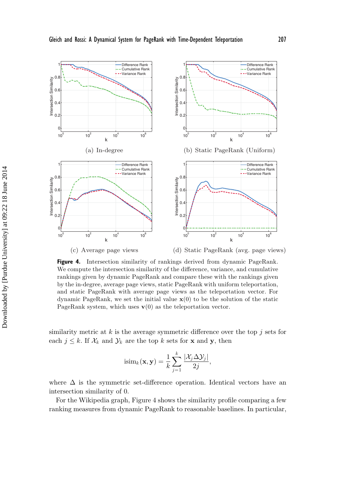

Figure 4. Intersection similarity of rankings derived from dynamic PageRank. We compute the intersection similarity of the difference, variance, and cumulative rankings given by dynamic PageRank and compare these with the rankings given by the in-degree, average page views, static PageRank with uniform teleportation, and static PageRank with average page views as the teleportation vector. For dynamic PageRank, we set the initial value **x**(0) to be the solution of the static PageRank system, which uses  $\mathbf{v}(0)$  as the teleportation vector.

similarity metric at  $k$  is the average symmetric difference over the top  $j$  sets for each  $j \leq k$ . If  $\mathcal{X}_k$  and  $\mathcal{Y}_k$  are the top k sets for **x** and **y**, then

$$
isim_k(\mathbf{x}, \mathbf{y}) = \frac{1}{k} \sum_{j=1}^k \frac{|\mathcal{X}_j \Delta \mathcal{Y}_j|}{2j},
$$

where  $\Delta$  is the symmetric set-difference operation. Identical vectors have an intersection similarity of 0.

For the Wikipedia graph, Figure 4 shows the similarity profile comparing a few ranking measures from dynamic PageRank to reasonable baselines. In particular,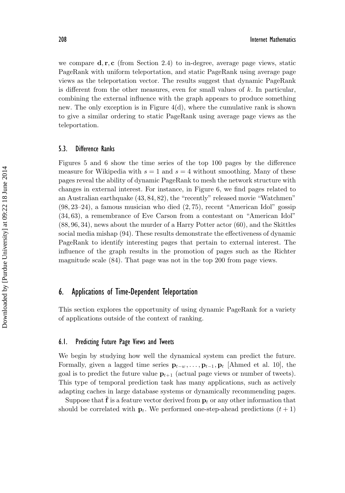we compare **d**, **r**, **c** (from Section 2.4) to in-degree, average page views, static PageRank with uniform teleportation, and static PageRank using average page views as the teleportation vector. The results suggest that dynamic PageRank is different from the other measures, even for small values of  $k$ . In particular, combining the external influence with the graph appears to produce something new. The only exception is in Figure 4(d), where the cumulative rank is shown to give a similar ordering to static PageRank using average page views as the teleportation.

#### 5.3. Difference Ranks

Figures 5 and 6 show the time series of the top 100 pages by the difference measure for Wikipedia with  $s = 1$  and  $s = 4$  without smoothing. Many of these pages reveal the ability of dynamic PageRank to mesh the network structure with changes in external interest. For instance, in Figure 6, we find pages related to an Australian earthquake (43, 84, 82), the "recently" released movie "Watchmen" (98, 23–24), a famous musician who died (2, 75), recent "American Idol" gossip (34, 63), a remembrance of Eve Carson from a contestant on "American Idol" (88, 96, 34), news about the murder of a Harry Potter actor (60), and the Skittles social media mishap (94). These results demonstrate the effectiveness of dynamic PageRank to identify interesting pages that pertain to external interest. The influence of the graph results in the promotion of pages such as the Richter magnitude scale (84). That page was not in the top 200 from page views.

### 6. Applications of Time-Dependent Teleportation

This section explores the opportunity of using dynamic PageRank for a variety of applications outside of the context of ranking.

#### 6.1. Predicting Future Page Views and Tweets

We begin by studying how well the dynamical system can predict the future. Formally, given a lagged time series  $\mathbf{p}_{t-w}, \ldots, \mathbf{p}_{t-1}, \mathbf{p}_t$  [Ahmed et al. 10], the goal is to predict the future value  $\mathbf{p}_{t+1}$  (actual page views or number of tweets). This type of temporal prediction task has many applications, such as actively adapting caches in large database systems or dynamically recommending pages.

Suppose that  $f$  is a feature vector derived from  $p_t$  or any other information that should be correlated with  $\mathbf{p}_t$ . We performed one-step-ahead predictions  $(t+1)$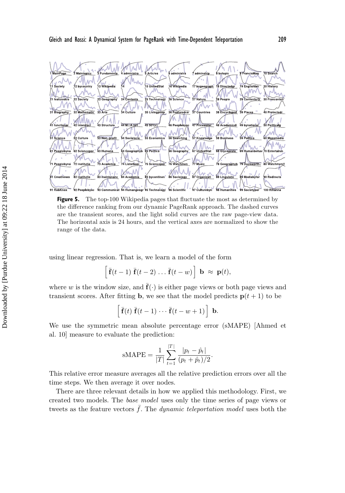

**Figure 5.** The top-100 Wikipedia pages that fluctuate the most as determined by the difference ranking from our dynamic PageRank approach. The dashed curves are the transient scores, and the light solid curves are the raw page-view data. The horizontal axis is 24 hours, and the vertical axes are normalized to show the range of the data.

using linear regression. That is, we learn a model of the form

$$
\left[\overline{\mathbf{f}}(t-1)\ \overline{\mathbf{f}}(t-2)\ \dots\ \overline{\mathbf{f}}(t-w)\right]\ \mathbf{b}\ \approx\ \mathbf{p}(t),
$$

where w is the window size, and  $\mathbf{f}(\cdot)$  is either page views or both page views and transient scores. After fitting **b**, we see that the model predicts  $\mathbf{p}(t+1)$  to be

$$
\left[\overline{\mathbf{f}}(t)\ \overline{\mathbf{f}}(t-1)\ \cdots\ \overline{\mathbf{f}}(t-w+1)\right]\ \mathbf{b}.
$$

We use the symmetric mean absolute percentage error (sMAPE) [Ahmed et al. 10] measure to evaluate the prediction:

$$
sMAPE = \frac{1}{|T|} \sum_{t=1}^{|T|} \frac{|p_t - \hat{p}_t|}{(p_t + \hat{p}_t)/2}.
$$

This relative error measure averages all the relative prediction errors over all the time steps. We then average it over nodes.

There are three relevant details in how we applied this methodology. First, we created two models. The *base model* uses only the time series of page views or tweets as the feature vectors  $\bar{f}$ . The *dynamic teleportation model* uses both the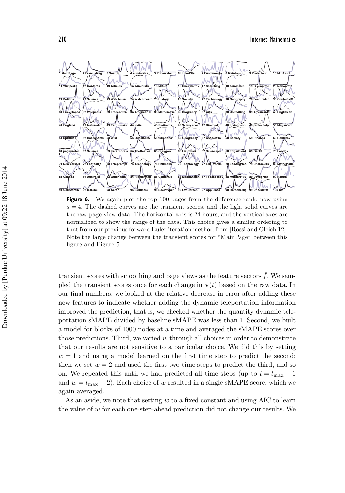#### 210 Internet Mathematics



**Figure 6.** We again plot the top 100 pages from the difference rank, now using  $s = 4$ . The dashed curves are the transient scores, and the light solid curves are the raw page-view data. The horizontal axis is 24 hours, and the vertical axes are normalized to show the range of the data. This choice gives a similar ordering to that from our previous forward Euler iteration method from [Rossi and Gleich 12]. Note the large change between the transient scores for "MainPage" between this figure and Figure 5.

transient scores with smoothing and page views as the feature vectors  $\bar{f}$ . We sampled the transient scores once for each change in  $\mathbf{v}(t)$  based on the raw data. In our final numbers, we looked at the relative decrease in error after adding these new features to indicate whether adding the dynamic teleportation information improved the prediction, that is, we checked whether the quantity dynamic teleportation sMAPE divided by baseline sMAPE was less than 1. Second, we built a model for blocks of 1000 nodes at a time and averaged the sMAPE scores over those predictions. Third, we varied  $w$  through all choices in order to demonstrate that our results are not sensitive to a particular choice. We did this by setting  $w = 1$  and using a model learned on the first time step to predict the second; then we set  $w = 2$  and used the first two time steps to predict the third, and so on. We repeated this until we had predicted all time steps (up to  $t = t_{\text{max}} - 1$ and  $w = t_{\text{max}} - 2$ ). Each choice of w resulted in a single sMAPE score, which we again averaged.

As an aside, we note that setting  $w$  to a fixed constant and using AIC to learn the value of  $w$  for each one-step-ahead prediction did not change our results. We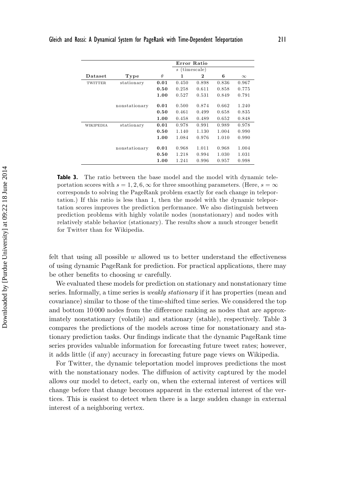|                  |               |          | Error Ratio                     |       |       |          |
|------------------|---------------|----------|---------------------------------|-------|-------|----------|
|                  |               |          | (timescale)<br>$\boldsymbol{s}$ |       |       |          |
| Dataset          | Type          | $\theta$ | 1                               | 2     | 6     | $\infty$ |
| <b>TWITTER</b>   | stationary    | 0.01     | 0.450                           | 0.898 | 0.836 | 0.967    |
|                  |               | 0.50     | 0.258                           | 0.611 | 0.858 | 0.775    |
|                  |               | 1.00     | 0.527                           | 0.531 | 0.849 | 0.791    |
|                  | nonstationary | 0.01     | 0.500                           | 0.874 | 0.662 | 1.240    |
|                  |               | 0.50     | 0.461                           | 0.499 | 0.658 | 0.835    |
|                  |               | 1.00     | 0.458                           | 0.489 | 0.652 | 0.848    |
| <b>WIKIPEDIA</b> | stationary    | 0.01     | 0.978                           | 0.991 | 0.989 | 0.978    |
|                  |               | 0.50     | 1.140                           | 1.130 | 1.004 | 0.990    |
|                  |               | 1.00     | 1.084                           | 0.976 | 1.010 | 0.990    |
|                  | nonstationary | 0.01     | 0.968                           | 1.011 | 0.968 | 1.004    |
|                  |               | 0.50     | 1.218                           | 0.994 | 1.030 | 1.031    |
|                  |               | 1.00     | 1.241                           | 0.996 | 0.957 | 0.998    |

**Table 3.** The ratio between the base model and the model with dynamic teleportation scores with  $s = 1, 2, 6, \infty$  for three smoothing parameters. (Here,  $s = \infty$ ) corresponds to solving the PageRank problem exactly for each change in teleportation.) If this ratio is less than 1, then the model with the dynamic teleportation scores improves the prediction performance. We also distinguish between prediction problems with highly volatile nodes (nonstationary) and nodes with relatively stable behavior (stationary). The results show a much stronger benefit for Twitter than for Wikipedia.

felt that using all possible  $w$  allowed us to better understand the effectiveness of using dynamic PageRank for prediction. For practical applications, there may be other benefits to choosing  $w$  carefully.

We evaluated these models for prediction on stationary and nonstationary time series. Informally, a time series is *weakly stationary* if it has properties (mean and covariance) similar to those of the time-shifted time series. We considered the top and bottom 10 000 nodes from the difference ranking as nodes that are approximately nonstationary (volatile) and stationary (stable), respectively. Table 3 compares the predictions of the models across time for nonstationary and stationary prediction tasks. Our findings indicate that the dynamic PageRank time series provides valuable information for forecasting future tweet rates; however, it adds little (if any) accuracy in forecasting future page views on Wikipedia.

For Twitter, the dynamic teleportation model improves predictions the most with the nonstationary nodes. The diffusion of activity captured by the model allows our model to detect, early on, when the external interest of vertices will change before that change becomes apparent in the external interest of the vertices. This is easiest to detect when there is a large sudden change in external interest of a neighboring vertex.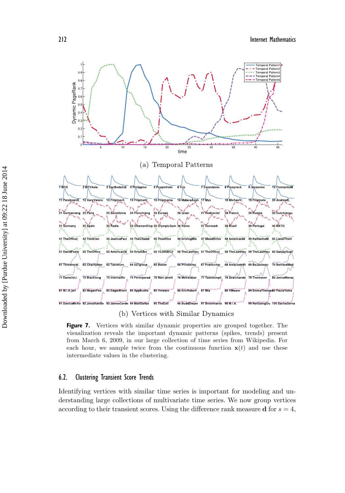212 Internet Mathematics



(b) Vertices with Similar Dynamics

**Figure 7.** Vertices with similar dynamic properties are grouped together. The visualization reveals the important dynamic patterns (spikes, trends) present from March 6, 2009, in our large collection of time series from Wikipedia. For each hour, we sample twice from the continuous function  $x(t)$  and use these intermediate values in the clustering.

#### 6.2. Clustering Transient Score Trends

Identifying vertices with similar time series is important for modeling and understanding large collections of multivariate time series. We now group vertices according to their transient scores. Using the difference rank measure **d** for  $s = 4$ ,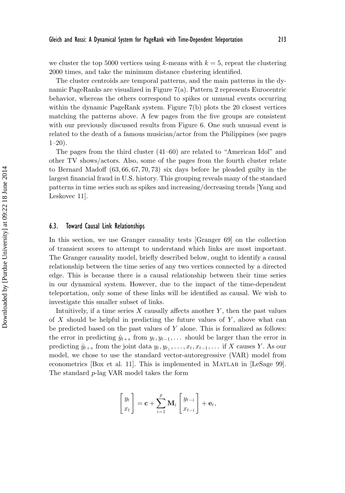we cluster the top 5000 vertices using k-means with  $k = 5$ , repeat the clustering 2000 times, and take the minimum distance clustering identified.

The cluster centroids are temporal patterns, and the main patterns in the dynamic PageRanks are visualized in Figure 7(a). Pattern 2 represents Eurocentric behavior, whereas the others correspond to spikes or unusual events occurring within the dynamic PageRank system. Figure 7(b) plots the 20 closest vertices matching the patterns above. A few pages from the five groups are consistent with our previously discussed results from Figure 6. One such unusual event is related to the death of a famous musician/actor from the Philippines (see pages 1–20).

The pages from the third cluster (41–60) are related to "American Idol" and other TV shows/actors. Also, some of the pages from the fourth cluster relate to Bernard Madoff (63, 66, 67, 70, 73) six days before he pleaded guilty in the largest financial fraud in U.S. history. This grouping reveals many of the standard patterns in time series such as spikes and increasing/decreasing trends [Yang and Leskovec 11].

#### 6.3. Toward Causal Link Relationships

In this section, we use Granger causality tests [Granger 69] on the collection of transient scores to attempt to understand which links are most important. The Granger causality model, briefly described below, ought to identify a causal relationship between the time series of any two vertices connected by a directed edge. This is because there is a causal relationship between their time series in our dynamical system. However, due to the impact of the time-dependent teleportation, only some of these links will be identified as causal. We wish to investigate this smaller subset of links.

Intuitively, if a time series  $X$  causally affects another  $Y$ , then the past values of X should be helpful in predicting the future values of  $Y$ , above what can be predicted based on the past values of  $Y$  alone. This is formalized as follows: the error in predicting  $\hat{y}_{t+s}$  from  $y_t, y_{t-1}, \ldots$  should be larger than the error in predicting  $\hat{y}_{t+s}$  from the joint data  $y_t, y_{t_1}, \ldots, x_t, x_{t-1}, \ldots$  if X causes Y. As our model, we chose to use the standard vector-autoregressive (VAR) model from econometrics [Box et al. 11]. This is implemented in MATLAB in [LeSage 99]. The standard p-lag VAR model takes the form

$$
\begin{bmatrix} y_t \\ x_t \end{bmatrix} = \mathbf{c} + \sum_{i=1}^p \mathbf{M}_i \begin{bmatrix} y_{t-i} \\ x_{t-i} \end{bmatrix} + \mathbf{e}_t,
$$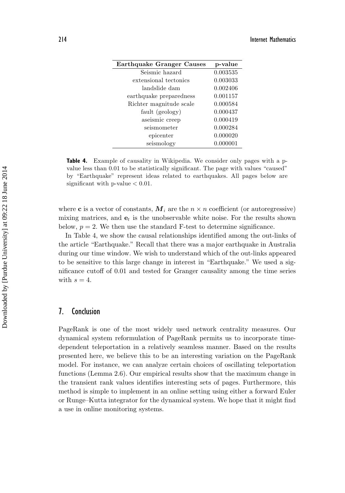| Earthquake Granger Causes | p-value  |
|---------------------------|----------|
| Seismic hazard            | 0.003535 |
| extensional tectonics     | 0.003033 |
| landslide dam             | 0.002406 |
| earthquake preparedness   | 0.001157 |
| Richter magnitude scale   | 0.000584 |
| fault (geology)           | 0.000437 |
| aseismic creep            | 0.000419 |
| seismometer               | 0.000284 |
| epicenter                 | 0.000020 |
| seismology                | 0.000001 |

**Table 4.** Example of causality in Wikipedia. We consider only pages with a pvalue less than 0.01 to be statistically significant. The page with values "caused" by "Earthquake" represent ideas related to earthquakes. All pages below are significant with  $p$ -value  $< 0.01$ .

where **c** is a vector of constants,  $M_i$  are the  $n \times n$  coefficient (or autoregressive) mixing matrices, and  $\mathbf{e}_t$  is the unobservable white noise. For the results shown below,  $p = 2$ . We then use the standard F-test to determine significance.

In Table 4, we show the causal relationships identified among the out-links of the article "Earthquake." Recall that there was a major earthquake in Australia during our time window. We wish to understand which of the out-links appeared to be sensitive to this large change in interest in "Earthquake." We used a significance cutoff of 0.01 and tested for Granger causality among the time series with  $s = 4$ .

# 7. Conclusion

PageRank is one of the most widely used network centrality measures. Our dynamical system reformulation of PageRank permits us to incorporate timedependent teleportation in a relatively seamless manner. Based on the results presented here, we believe this to be an interesting variation on the PageRank model. For instance, we can analyze certain choices of oscillating teleportation functions (Lemma 2.6). Our empirical results show that the maximum change in the transient rank values identifies interesting sets of pages. Furthermore, this method is simple to implement in an online setting using either a forward Euler or Runge–Kutta integrator for the dynamical system. We hope that it might find a use in online monitoring systems.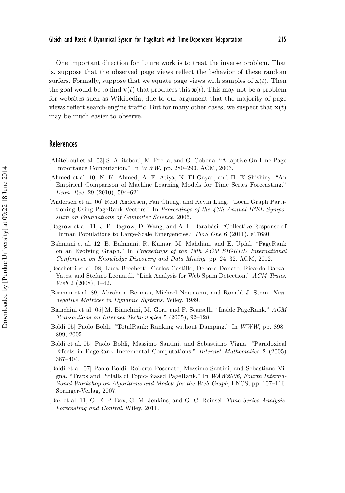One important direction for future work is to treat the inverse problem. That is, suppose that the observed page views reflect the behavior of these random surfers. Formally, suppose that we equate page views with samples of  $\mathbf{x}(t)$ . Then the goal would be to find  $\mathbf{v}(t)$  that produces this  $\mathbf{x}(t)$ . This may not be a problem for websites such as Wikipedia, due to our argument that the majority of page views reflect search-engine traffic. But for many other cases, we suspect that  $\mathbf{x}(t)$ may be much easier to observe.

## References

- [Abiteboul et al. 03] S. Abiteboul, M. Preda, and G. Cobena. "Adaptive On-Line Page Importance Computation." In WWW, pp. 280–290. ACM, 2003.
- [Ahmed et al. 10] N. K. Ahmed, A. F. Atiya, N. El Gayar, and H. El-Shishiny. "An Empirical Comparison of Machine Learning Models for Time Series Forecasting." Econ. Rev. 29 (2010), 594–621.
- [Andersen et al. 06] Reid Andersen, Fan Chung, and Kevin Lang. "Local Graph Partitioning Using PageRank Vectors." In Proceedings of the 47th Annual IEEE Symposium on Foundations of Computer Science, 2006.
- [Bagrow et al. 11] J. P. Bagrow, D. Wang, and A. L. Barabási. "Collective Response of Human Populations to Large-Scale Emergencies." PloS One 6 (2011), e17680.
- [Bahmani et al. 12] B. Bahmani, R. Kumar, M. Mahdian, and E. Upfal. "PageRank on an Evolving Graph." In Proceedings of the 18th ACM SIGKDD International Conference on Knowledge Discovery and Data Mining, pp. 24–32. ACM, 2012.
- [Becchetti et al. 08] Luca Becchetti, Carlos Castillo, Debora Donato, Ricardo Baeza-Yates, and Stefano Leonardi. "Link Analysis for Web Spam Detection." ACM Trans. Web 2 (2008), 1–42.
- [Berman et al. 89] Abraham Berman, Michael Neumann, and Ronald J. Stern. Nonnegative Matrices in Dynamic Systems. Wiley, 1989.
- [Bianchini et al. 05] M. Bianchini, M. Gori, and F. Scarselli. "Inside PageRank." ACM Transactions on Internet Technologies 5 (2005), 92–128.
- [Boldi 05] Paolo Boldi. "TotalRank: Ranking without Damping." In WWW, pp. 898– 899, 2005.
- [Boldi et al. 05] Paolo Boldi, Massimo Santini, and Sebastiano Vigna. "Paradoxical Effects in PageRank Incremental Computations." Internet Mathematics 2 (2005) 387–404.
- [Boldi et al. 07] Paolo Boldi, Roberto Posenato, Massimo Santini, and Sebastiano Vigna. "Traps and Pitfalls of Topic-Biased PageRank." In WAW2006, Fourth International Workshop on Algorithms and Models for the Web-Graph, LNCS, pp. 107–116. Springer-Verlag, 2007.
- [Box et al. 11] G. E. P. Box, G. M. Jenkins, and G. C. Reinsel. Time Series Analysis: Forecasting and Control. Wiley, 2011.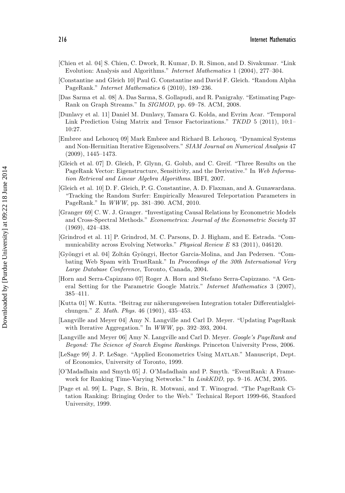- [Chien et al. 04] S. Chien, C. Dwork, R. Kumar, D. R. Simon, and D. Sivakumar. "Link Evolution: Analysis and Algorithms." Internet Mathematics 1 (2004), 277–304.
- [Constantine and Gleich 10] Paul G. Constantine and David F. Gleich. "Random Alpha PageRank." Internet Mathematics 6 (2010), 189–236.
- [Das Sarma et al. 08] A. Das Sarma, S. Gollapudi, and R. Panigrahy. "Estimating Page-Rank on Graph Streams." In SIGMOD, pp. 69–78. ACM, 2008.
- [Dunlavy et al. 11] Daniel M. Dunlavy, Tamara G. Kolda, and Evrim Acar. "Temporal Link Prediction Using Matrix and Tensor Factorizations." TKDD 5 (2011), 10:1– 10:27.
- [Embree and Lehoucq 09] Mark Embree and Richard B. Lehoucq. "Dynamical Systems and Non-Hermitian Iterative Eigensolvers." SIAM Journal on Numerical Analysis 47 (2009), 1445–1473.
- [Gleich et al. 07] D. Gleich, P. Glynn, G. Golub, and C. Greif. "Three Results on the PageRank Vector: Eigenstructure, Sensitivity, and the Derivative." In Web Information Retrieval and Linear Algebra Algorithms. IBFI, 2007.
- [Gleich et al. 10] D. F. Gleich, P. G. Constantine, A. D. Flaxman, and A. Gunawardana. "Tracking the Random Surfer: Empirically Measured Teleportation Parameters in PageRank." In WWW, pp. 381–390. ACM, 2010.
- [Granger 69] C. W. J. Granger. "Investigating Causal Relations by Econometric Models and Cross-Spectral Methods." Econometrica: Journal of the Econometric Society 37 (1969), 424–438.
- [Grindrod et al. 11] P. Grindrod, M. C. Parsons, D. J. Higham, and E. Estrada. "Communicability across Evolving Networks." Physical Review E 83 (2011), 046120.
- [Gy¨ongyi et al. 04] Zolt´an Gy¨ongyi, Hector Garcia-Molina, and Jan Pedersen. "Combating Web Spam with TrustRank." In Proceedings of the 30th International Very Large Database Conference, Toronto, Canada, 2004.
- [Horn and Serra-Capizzano 07] Roger A. Horn and Stefano Serra-Capizzano. "A General Setting for the Parametric Google Matrix." Internet Mathematics 3 (2007), 385–411.
- [Kutta 01] W. Kutta. "Beitrag zur n¨aherungsweisen Integration totaler Differentialgleichungen." Z. Math. Phys. 46 (1901), 435–453.
- [Langville and Meyer 04] Amy N. Langville and Carl D. Meyer. "Updating PageRank with Iterative Aggregation." In WWW, pp. 392–393, 2004.
- [Langville and Meyer 06] Amy N. Langville and Carl D. Meyer. Google's PageRank and Beyond: The Science of Search Engine Rankings. Princeton University Press, 2006.
- [LeSage 99] J. P. LeSage. "Applied Econometrics Using Matlab." Manuscript, Dept. of Economics, University of Toronto, 1999.
- [O'Madadhain and Smyth 05] J. O'Madadhain and P. Smyth. "EventRank: A Framework for Ranking Time-Varying Networks." In LinkKDD, pp. 9–16. ACM, 2005.
- [Page et al. 99] L. Page, S. Brin, R. Motwani, and T. Winograd. "The PageRank Citation Ranking: Bringing Order to the Web." Technical Report 1999-66, Stanford University, 1999.